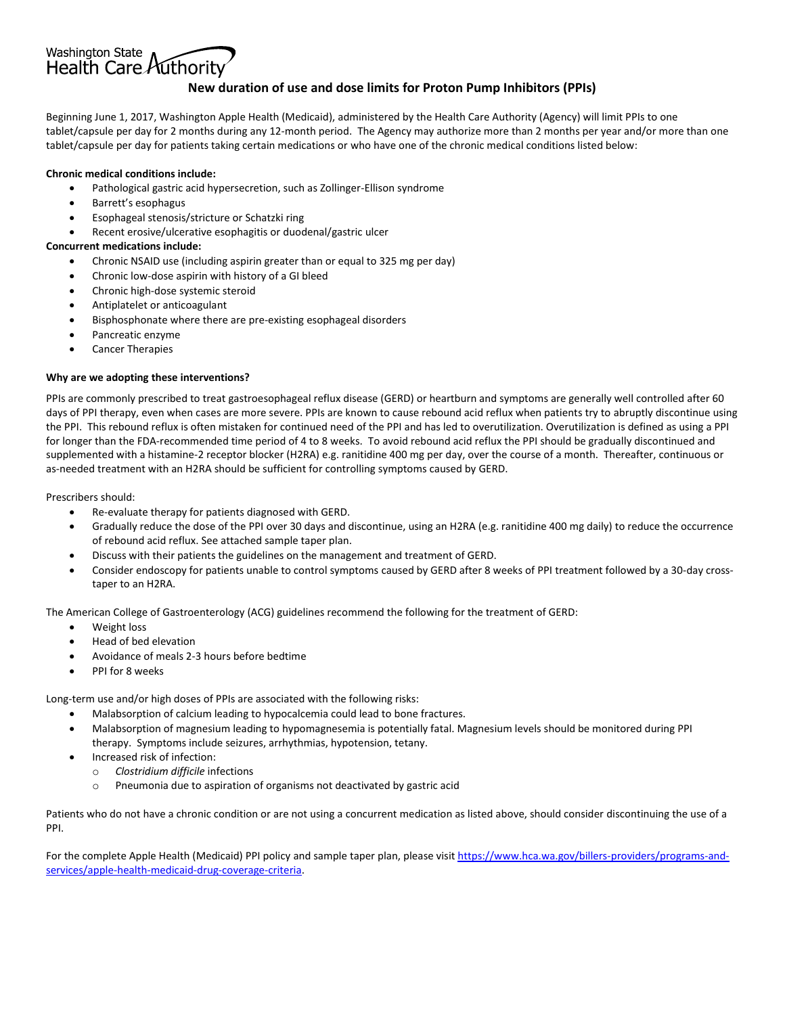## **New duration of use and dose limits for Proton Pump Inhibitors (PPIs)**

Beginning June 1, 2017, Washington Apple Health (Medicaid), administered by the Health Care Authority (Agency) will limit PPIs to one tablet/capsule per day for 2 months during any 12-month period. The Agency may authorize more than 2 months per year and/or more than one tablet/capsule per day for patients taking certain medications or who have one of the chronic medical conditions listed below:

#### **Chronic medical conditions include:**

Health Care Authority

Washington State

- Pathological gastric acid hypersecretion, such as Zollinger-Ellison syndrome
- Barrett's esophagus
- Esophageal stenosis/stricture or Schatzki ring
- Recent erosive/ulcerative esophagitis or duodenal/gastric ulcer

#### **Concurrent medications include:**

- Chronic NSAID use (including aspirin greater than or equal to 325 mg per day)
- Chronic low-dose aspirin with history of a GI bleed
- Chronic high-dose systemic steroid
- Antiplatelet or anticoagulant
- Bisphosphonate where there are pre-existing esophageal disorders
- Pancreatic enzyme
- Cancer Therapies

#### **Why are we adopting these interventions?**

PPIs are commonly prescribed to treat gastroesophageal reflux disease (GERD) or heartburn and symptoms are generally well controlled after 60 days of PPI therapy, even when cases are more severe. PPIs are known to cause rebound acid reflux when patients try to abruptly discontinue using the PPI. This rebound reflux is often mistaken for continued need of the PPI and has led to overutilization. Overutilization is defined as using a PPI for longer than the FDA-recommended time period of 4 to 8 weeks. To avoid rebound acid reflux the PPI should be gradually discontinued and supplemented with a histamine-2 receptor blocker (H2RA) e.g. ranitidine 400 mg per day, over the course of a month. Thereafter, continuous or as-needed treatment with an H2RA should be sufficient for controlling symptoms caused by GERD.

Prescribers should:

- Re-evaluate therapy for patients diagnosed with GERD.
- Gradually reduce the dose of the PPI over 30 days and discontinue, using an H2RA (e.g. ranitidine 400 mg daily) to reduce the occurrence of rebound acid reflux. See attached sample taper plan.
- Discuss with their patients the guidelines on the management and treatment of GERD.
- Consider endoscopy for patients unable to control symptoms caused by GERD after 8 weeks of PPI treatment followed by a 30-day crosstaper to an H2RA.

The American College of Gastroenterology (ACG) guidelines recommend the following for the treatment of GERD:

- Weight loss
- Head of bed elevation
- Avoidance of meals 2-3 hours before bedtime
- PPI for 8 weeks

Long-term use and/or high doses of PPIs are associated with the following risks:

- Malabsorption of calcium leading to hypocalcemia could lead to bone fractures.
- Malabsorption of magnesium leading to hypomagnesemia is potentially fatal. Magnesium levels should be monitored during PPI therapy. Symptoms include seizures, arrhythmias, hypotension, tetany.
- Increased risk of infection:
	- o *Clostridium difficile* infections
	- o Pneumonia due to aspiration of organisms not deactivated by gastric acid

Patients who do not have a chronic condition or are not using a concurrent medication as listed above, should consider discontinuing the use of a PPI.

For the complete Apple Health (Medicaid) PPI policy and sample taper plan, please visi[t https://www.hca.wa.gov/billers-providers/programs-and](https://www.hca.wa.gov/billers-providers/programs-and-services/apple-health-medicaid-drug-coverage-criteria)[services/apple-health-medicaid-drug-coverage-criteria.](https://www.hca.wa.gov/billers-providers/programs-and-services/apple-health-medicaid-drug-coverage-criteria)